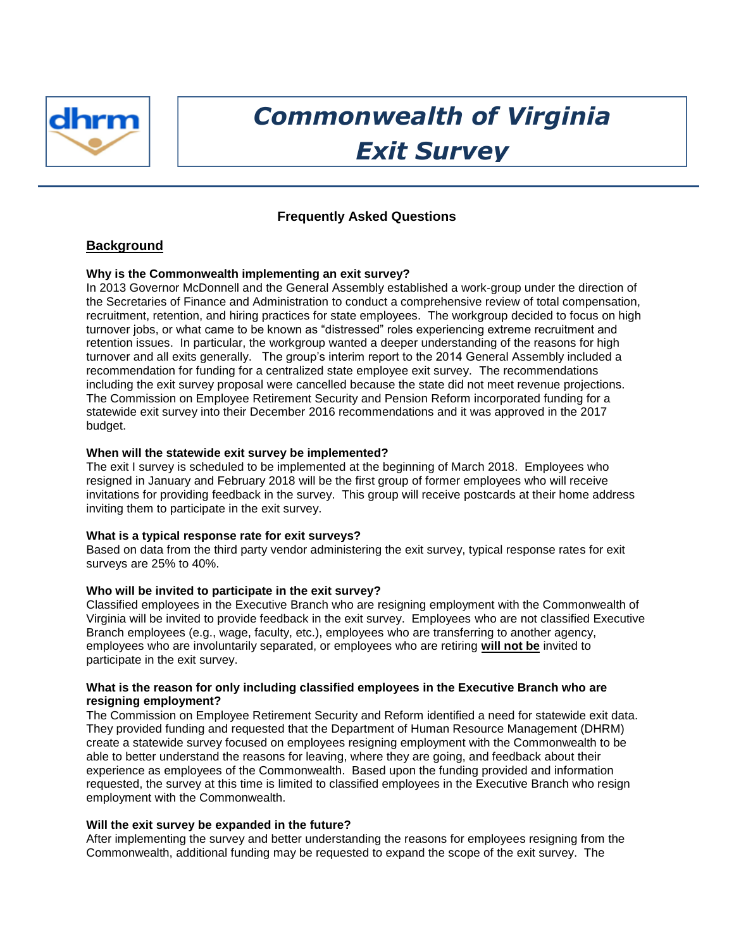

# *Commonwealth of Virginia Exit Survey*

# **Frequently Asked Questions**

# **Background**

# **Why is the Commonwealth implementing an exit survey?**

In 2013 Governor McDonnell and the General Assembly established a work‐group under the direction of the Secretaries of Finance and Administration to conduct a comprehensive review of total compensation, recruitment, retention, and hiring practices for state employees. The workgroup decided to focus on high turnover jobs, or what came to be known as "distressed" roles experiencing extreme recruitment and retention issues. In particular, the workgroup wanted a deeper understanding of the reasons for high turnover and all exits generally. The group's interim report to the 2014 General Assembly included a recommendation for funding for a centralized state employee exit survey. The recommendations including the exit survey proposal were cancelled because the state did not meet revenue projections. The Commission on Employee Retirement Security and Pension Reform incorporated funding for a statewide exit survey into their December 2016 recommendations and it was approved in the 2017 budget.

## **When will the statewide exit survey be implemented?**

The exit I survey is scheduled to be implemented at the beginning of March 2018. Employees who resigned in January and February 2018 will be the first group of former employees who will receive invitations for providing feedback in the survey. This group will receive postcards at their home address inviting them to participate in the exit survey.

## **What is a typical response rate for exit surveys?**

Based on data from the third party vendor administering the exit survey, typical response rates for exit surveys are 25% to 40%.

## **Who will be invited to participate in the exit survey?**

Classified employees in the Executive Branch who are resigning employment with the Commonwealth of Virginia will be invited to provide feedback in the exit survey. Employees who are not classified Executive Branch employees (e.g., wage, faculty, etc.), employees who are transferring to another agency, employees who are involuntarily separated, or employees who are retiring **will not be** invited to participate in the exit survey.

## **What is the reason for only including classified employees in the Executive Branch who are resigning employment?**

The Commission on Employee Retirement Security and Reform identified a need for statewide exit data. They provided funding and requested that the Department of Human Resource Management (DHRM) create a statewide survey focused on employees resigning employment with the Commonwealth to be able to better understand the reasons for leaving, where they are going, and feedback about their experience as employees of the Commonwealth. Based upon the funding provided and information requested, the survey at this time is limited to classified employees in the Executive Branch who resign employment with the Commonwealth.

## **Will the exit survey be expanded in the future?**

After implementing the survey and better understanding the reasons for employees resigning from the Commonwealth, additional funding may be requested to expand the scope of the exit survey. The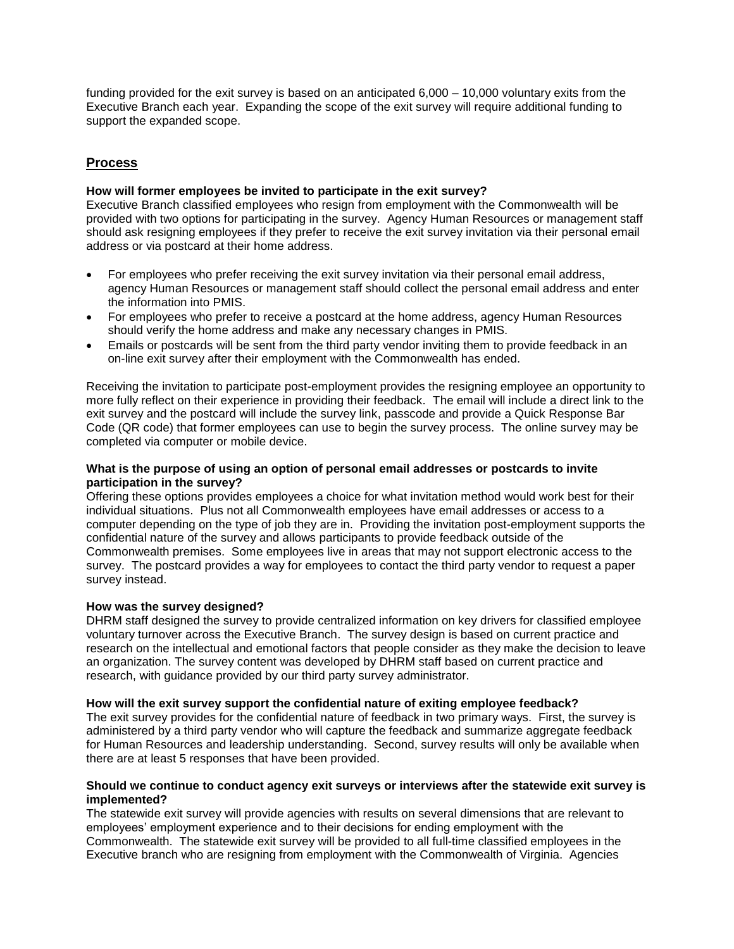funding provided for the exit survey is based on an anticipated 6,000 – 10,000 voluntary exits from the Executive Branch each year. Expanding the scope of the exit survey will require additional funding to support the expanded scope.

# **Process**

# **How will former employees be invited to participate in the exit survey?**

Executive Branch classified employees who resign from employment with the Commonwealth will be provided with two options for participating in the survey. Agency Human Resources or management staff should ask resigning employees if they prefer to receive the exit survey invitation via their personal email address or via postcard at their home address.

- For employees who prefer receiving the exit survey invitation via their personal email address, agency Human Resources or management staff should collect the personal email address and enter the information into PMIS.
- For employees who prefer to receive a postcard at the home address, agency Human Resources should verify the home address and make any necessary changes in PMIS.
- Emails or postcards will be sent from the third party vendor inviting them to provide feedback in an on-line exit survey after their employment with the Commonwealth has ended.

Receiving the invitation to participate post-employment provides the resigning employee an opportunity to more fully reflect on their experience in providing their feedback. The email will include a direct link to the exit survey and the postcard will include the survey link, passcode and provide a Quick Response Bar Code (QR code) that former employees can use to begin the survey process. The online survey may be completed via computer or mobile device.

# **What is the purpose of using an option of personal email addresses or postcards to invite participation in the survey?**

Offering these options provides employees a choice for what invitation method would work best for their individual situations. Plus not all Commonwealth employees have email addresses or access to a computer depending on the type of job they are in. Providing the invitation post-employment supports the confidential nature of the survey and allows participants to provide feedback outside of the Commonwealth premises. Some employees live in areas that may not support electronic access to the survey. The postcard provides a way for employees to contact the third party vendor to request a paper survey instead.

## **How was the survey designed?**

DHRM staff designed the survey to provide centralized information on key drivers for classified employee voluntary turnover across the Executive Branch. The survey design is based on current practice and research on the intellectual and emotional factors that people consider as they make the decision to leave an organization. The survey content was developed by DHRM staff based on current practice and research, with guidance provided by our third party survey administrator.

## **How will the exit survey support the confidential nature of exiting employee feedback?**

The exit survey provides for the confidential nature of feedback in two primary ways. First, the survey is administered by a third party vendor who will capture the feedback and summarize aggregate feedback for Human Resources and leadership understanding. Second, survey results will only be available when there are at least 5 responses that have been provided.

# **Should we continue to conduct agency exit surveys or interviews after the statewide exit survey is implemented?**

The statewide exit survey will provide agencies with results on several dimensions that are relevant to employees' employment experience and to their decisions for ending employment with the Commonwealth. The statewide exit survey will be provided to all full-time classified employees in the Executive branch who are resigning from employment with the Commonwealth of Virginia. Agencies